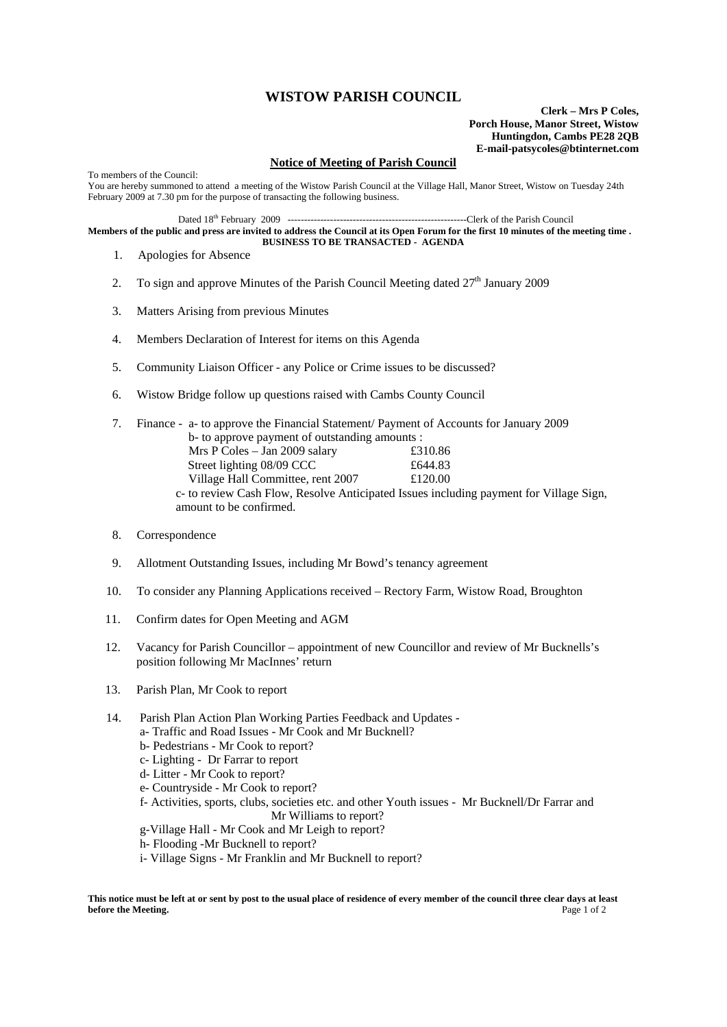## **WISTOW PARISH COUNCIL**

**Clerk – Mrs P Coles, Porch House, Manor Street, Wistow Huntingdon, Cambs PE28 2QB E-mail-patsycoles@btinternet.com**

## **Notice of Meeting of Parish Council**

To members of the Council: You are hereby summoned to attend a meeting of the Wistow Parish Council at the Village Hall, Manor Street, Wistow on Tuesday 24th February 2009 at 7.30 pm for the purpose of transacting the following business.

Dated 18th February 2009 -------------------------------------------------------Clerk of the Parish Council

**Members of the public and press are invited to address the Council at its Open Forum for the first 10 minutes of the meeting time . BUSINESS TO BE TRANSACTED - AGENDA** 

- 1. Apologies for Absence
- 2. To sign and approve Minutes of the Parish Council Meeting dated 27<sup>th</sup> January 2009
- 3. Matters Arising from previous Minutes
- 4. Members Declaration of Interest for items on this Agenda
- 5. Community Liaison Officer any Police or Crime issues to be discussed?
- 6. Wistow Bridge follow up questions raised with Cambs County Council
- 7. Finance a- to approve the Financial Statement/ Payment of Accounts for January 2009 b- to approve payment of outstanding amounts : Mrs P Coles – Jan 2009 salary £310.86 Street lighting 08/09 CCC £644.83 Village Hall Committee, rent 2007 £120.00 c- to review Cash Flow, Resolve Anticipated Issues including payment for Village Sign, amount to be confirmed.
- 8. Correspondence
- 9. Allotment Outstanding Issues, including Mr Bowd's tenancy agreement
- 10. To consider any Planning Applications received Rectory Farm, Wistow Road, Broughton
- 11. Confirm dates for Open Meeting and AGM
- 12. Vacancy for Parish Councillor appointment of new Councillor and review of Mr Bucknells's position following Mr MacInnes' return
- 13. Parish Plan, Mr Cook to report
- 14. Parish Plan Action Plan Working Parties Feedback and Updates
	- a- Traffic and Road Issues Mr Cook and Mr Bucknell?
	- b- Pedestrians Mr Cook to report?
	- c- Lighting Dr Farrar to report d- Litter - Mr Cook to report?
	- e- Countryside Mr Cook to report?
	-
	- f- Activities, sports, clubs, societies etc. and other Youth issues Mr Bucknell/Dr Farrar and Mr Williams to report?
	- g-Village Hall Mr Cook and Mr Leigh to report?
	- h- Flooding -Mr Bucknell to report?
	- i- Village Signs Mr Franklin and Mr Bucknell to report?

**This notice must be left at or sent by post to the usual place of residence of every member of the council three clear days at least before the Meeting.** Page 1 of 2